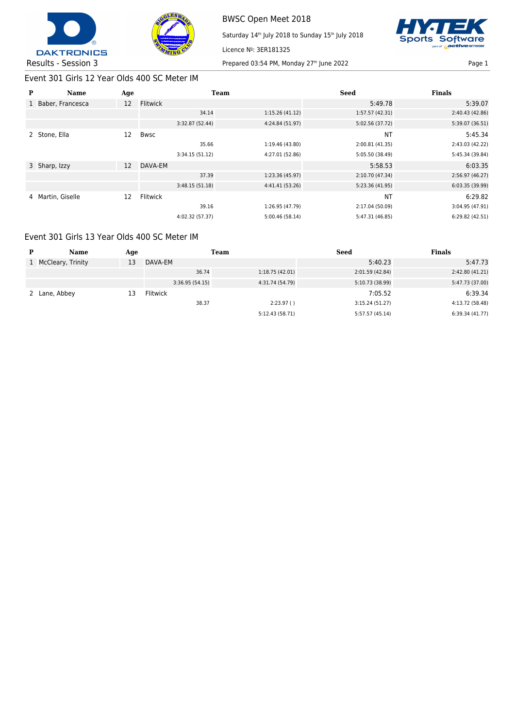



BWSC Open Meet 2018 Saturday 14<sup>th</sup> July 2018 to Sunday 15<sup>th</sup> July 2018 Licence Nº: 3ER181325



## Event 301 Girls 12 Year Olds 400 SC Meter IM

| P | Name               | Age |                 | <b>Team</b>              | <b>Seed</b>     | <b>Finals</b>   |
|---|--------------------|-----|-----------------|--------------------------|-----------------|-----------------|
|   | 1 Baber, Francesca | 12  | Flitwick        |                          | 5:49.78         | 5:39.07         |
|   |                    |     |                 | 1:15.26(41.12)<br>34.14  | 1:57.57 (42.31) | 2:40.43 (42.86) |
|   |                    |     | 3:32.87 (52.44) | 4:24.84 (51.97)          | 5:02.56 (37.72) | 5:39.07 (36.51) |
|   | 2 Stone, Ella      | 12  | <b>Bwsc</b>     |                          | <b>NT</b>       | 5:45.34         |
|   |                    |     |                 | 35.66<br>1:19.46 (43.80) | 2:00.81 (41.35) | 2:43.03 (42.22) |
|   |                    |     | 3:34.15(51.12)  | 4:27.01 (52.86)          | 5:05.50 (38.49) | 5:45.34 (39.84) |
|   | 3 Sharp, Izzy      | 12  | DAVA-EM         |                          | 5:58.53         | 6:03.35         |
|   |                    |     |                 | 37.39<br>1:23.36 (45.97) | 2:10.70 (47.34) | 2:56.97 (46.27) |
|   |                    |     | 3:48.15(51.18)  | 4:41.41(53.26)           | 5:23.36 (41.95) | 6:03.35 (39.99) |
| 4 | Martin, Giselle    | 12  | Flitwick        |                          | <b>NT</b>       | 6:29.82         |
|   |                    |     |                 | 39.16<br>1:26.95 (47.79) | 2:17.04 (50.09) | 3:04.95 (47.91) |
|   |                    |     | 4:02.32 (57.37) | 5:00.46(58.14)           | 5:47.31 (46.85) | 6:29.82(42.51)  |

## Event 301 Girls 13 Year Olds 400 SC Meter IM

| D | Name                | Age |                 | <b>Team</b>     | Seed            | <b>Finals</b>   |
|---|---------------------|-----|-----------------|-----------------|-----------------|-----------------|
|   | 1 McCleary, Trinity | 13  | DAVA-EM         |                 | 5:40.23         | 5:47.73         |
|   |                     |     | 36.74           | 1:18.75(42.01)  | 2:01.59 (42.84) | 2:42.80(41.21)  |
|   |                     |     | 3:36.95(54.15)  | 4:31.74 (54.79) | 5:10.73 (38.99) | 5:47.73 (37.00) |
|   | Lane, Abbey         | 13  | <b>Flitwick</b> |                 | 7:05.52         | 6:39.34         |
|   |                     |     | 38.37           | 2:23.97()       | 3:15.24(51.27)  | 4:13.72 (58.48) |
|   |                     |     |                 | 5:12.43 (58.71) | 5:57.57 (45.14) | 6:39.34 (41.77) |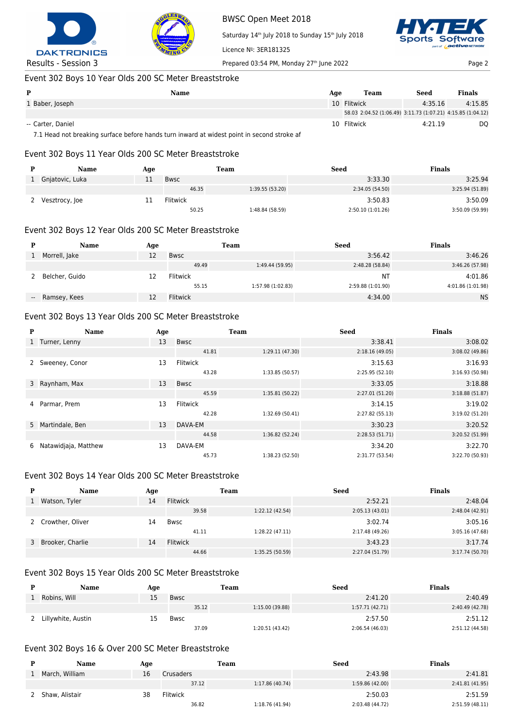



BWSC Open Meet 2018 Saturday 14<sup>th</sup> July 2018 to Sunday 15<sup>th</sup> July 2018 Licence Nº: 3ER181325 Results - Session 3 Prepared 03:54 PM, Monday 27<sup>th</sup> June 2022 Page 2



## Event 302 Boys 10 Year Olds 200 SC Meter Breaststroke

| P                                    | Name | Age | Team                                                        | Seed    | <b>Finals</b> |
|--------------------------------------|------|-----|-------------------------------------------------------------|---------|---------------|
| 1 Baber, Joseph                      |      |     | 10 Flitwick                                                 | 4:35.16 | 4:15.85       |
|                                      |      |     | 58.03 2:04.52 (1:06.49) 3:11.73 (1:07.21) 4:15.85 (1:04.12) |         |               |
| -- Carter, Daniel<br>_ _ _ _ _ _ _ _ | .    | .   | 10 Flitwick                                                 | 4:21.19 | DQ            |

7.1 Head not breaking surface before hands turn inward at widest point in second stroke af

#### Event 302 Boys 11 Year Olds 200 SC Meter Breaststroke

| Name            | Age |                 | Team            | Seed              | <b>Finals</b>   |
|-----------------|-----|-----------------|-----------------|-------------------|-----------------|
| Gnjatovic, Luka |     | <b>Bwsc</b>     |                 | 3:33.30           | 3:25.94         |
|                 |     | 46.35           | 1:39.55(53.20)  | 2:34.05 (54.50)   | 3:25.94 (51.89) |
| Vesztrocy, Joe  | 11  | <b>Flitwick</b> |                 | 3:50.83           | 3:50.09         |
|                 |     | 50.25           | 1:48.84 (58.59) | 2:50.10 (1:01.26) | 3:50.09 (59.99) |

#### Event 302 Boys 12 Year Olds 200 SC Meter Breaststroke

| <b>Name</b>     | Age |                 | Team              | Seed              | <b>Finals</b>     |
|-----------------|-----|-----------------|-------------------|-------------------|-------------------|
| Morrell, Jake   | 12  | Bwsc            |                   | 3:56.42           | 3:46.26           |
|                 |     | 49.49           | 1:49.44 (59.95)   | 2:48.28 (58.84)   | 3:46.26 (57.98)   |
| Belcher, Guido  |     | <b>Flitwick</b> |                   | NΤ                | 4:01.86           |
|                 |     | 55.15           | 1:57.98 (1:02.83) | 2:59.88 (1:01.90) | 4:01.86 (1:01.98) |
| -- Ramsey, Kees | 12  | <b>Flitwick</b> |                   | 4:34.00           | <b>NS</b>         |

#### Event 302 Boys 13 Year Olds 200 SC Meter Breaststroke

| P | Name                 | Age |                 | <b>Team</b>     | <b>Seed</b>     | <b>Finals</b>   |
|---|----------------------|-----|-----------------|-----------------|-----------------|-----------------|
|   | 1 Turner, Lenny      | 13  | <b>Bwsc</b>     |                 | 3:38.41         | 3:08.02         |
|   |                      |     | 41.81           | 1:29.11 (47.30) | 2:18.16(49.05)  | 3:08.02 (49.86) |
|   | Sweeney, Conor       | 13  | <b>Flitwick</b> |                 | 3:15.63         | 3:16.93         |
|   |                      |     | 43.28           | 1:33.85 (50.57) | 2:25.95 (52.10) | 3:16.93 (50.98) |
|   | 3 Raynham, Max       | 13  | <b>Bwsc</b>     |                 | 3:33.05         | 3:18.88         |
|   |                      |     | 45.59           | 1:35.81 (50.22) | 2:27.01 (51.20) | 3:18.88(51.87)  |
| 4 | Parmar, Prem         | 13  | <b>Flitwick</b> |                 | 3:14.15         | 3:19.02         |
|   |                      |     | 42.28           | 1:32.69 (50.41) | 2:27.82 (55.13) | 3:19.02 (51.20) |
|   | 5 Martindale, Ben    | 13  | DAVA-EM         |                 | 3:30.23         | 3:20.52         |
|   |                      |     | 44.58           | 1:36.82 (52.24) | 2:28.53(51.71)  | 3:20.52 (51.99) |
| 6 | Natawidjaja, Matthew | 13  | DAVA-EM         |                 | 3:34.20         | 3:22.70         |
|   |                      |     | 45.73           | 1:38.23 (52.50) | 2:31.77 (53.54) | 3:22.70 (50.93) |

#### Event 302 Boys 14 Year Olds 200 SC Meter Breaststroke

| <b>Name</b>        | Age |                 | Team            | <b>Seed</b>     | <b>Finals</b>   |
|--------------------|-----|-----------------|-----------------|-----------------|-----------------|
| Watson, Tyler      | 14  | <b>Flitwick</b> |                 | 2:52.21         | 2:48.04         |
|                    |     | 39.58           | 1:22.12 (42.54) | 2:05.13(43.01)  | 2:48.04 (42.91) |
| Crowther, Oliver   | 14  | Bwsc            |                 | 3:02.74         | 3:05.16         |
|                    |     | 41.11           | 1:28.22 (47.11) | 2:17.48 (49.26) | 3:05.16 (47.68) |
| 3 Brooker, Charlie | 14  | <b>Flitwick</b> |                 | 3:43.23         | 3:17.74         |
|                    |     | 44.66           | 1:35.25 (50.59) | 2:27.04 (51.79) | 3:17.74 (50.70) |

#### Event 302 Boys 15 Year Olds 200 SC Meter Breaststroke

| Name               | Age |             | Team  |                 | <b>Seed</b>     | <b>Finals</b>   |
|--------------------|-----|-------------|-------|-----------------|-----------------|-----------------|
| Robins, Will       | 15  | Bwsc        |       |                 | 2:41.20         | 2:40.49         |
|                    |     |             | 35.12 | 1:15.00 (39.88) | 1:57.71(42.71)  | 2:40.49 (42.78) |
| Lillywhite, Austin | 15  | <b>Bwsc</b> |       |                 | 2:57.50         | 2:51.12         |
|                    |     |             | 37.09 | 1:20.51 (43.42) | 2:06.54 (46.03) | 2:51.12 (44.58) |

#### Event 302 Boys 16 & Over 200 SC Meter Breaststroke

| <b>Name</b>    | Age |           | Team            | Seed            | Finals          |
|----------------|-----|-----------|-----------------|-----------------|-----------------|
| March, William | 16  | Crusaders |                 | 2:43.98         | 2:41.81         |
|                |     | 37.12     | 1:17.86 (40.74) | 1:59.86 (42.00) | 2:41.81 (41.95) |
| Shaw, Alistair | 38  | Flitwick  |                 | 2:50.03         | 2:51.59         |
|                |     | 36.82     | 1:18.76 (41.94) | 2:03.48 (44.72) | 2:51.59(48.11)  |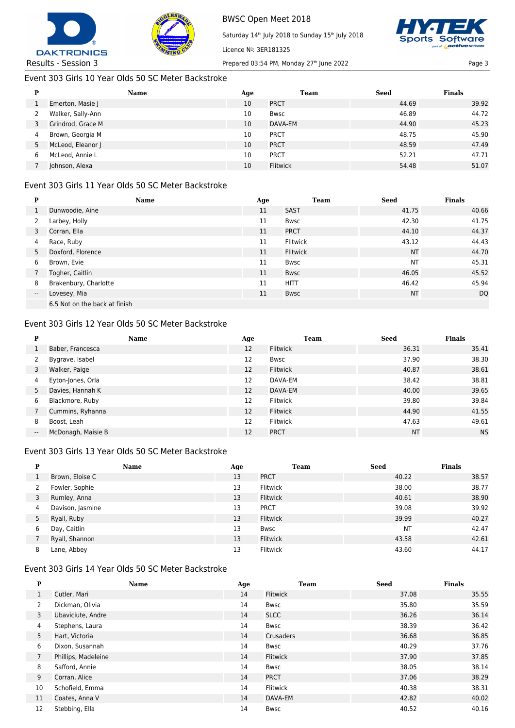



Saturday 14<sup>th</sup> July 2018 to Sunday 15<sup>th</sup> July 2018



Results - Session 3 Prepared 03:54 PM, Monday 27<sup>th</sup> June 2022 Page 3

## Event 303 Girls 10 Year Olds 50 SC Meter Backstroke

| D | <b>Name</b>       | Age | Team            | Seed  | <b>Finals</b> |
|---|-------------------|-----|-----------------|-------|---------------|
|   | Emerton, Masie J  | 10  | <b>PRCT</b>     | 44.69 | 39.92         |
|   | Walker, Sally-Ann | 10  | <b>Bwsc</b>     | 46.89 | 44.72         |
|   | Grindrod, Grace M | 10  | DAVA-EM         | 44.90 | 45.23         |
| 4 | Brown, Georgia M  | 10  | <b>PRCT</b>     | 48.75 | 45.90         |
| 5 | McLeod, Eleanor J | 10  | <b>PRCT</b>     | 48.59 | 47.49         |
| 6 | McLeod, Annie L   | 10  | <b>PRCT</b>     | 52.21 | 47.71         |
|   | Johnson, Alexa    | 10  | <b>Flitwick</b> | 54.48 | 51.07         |

Licence Nº: 3ER181325

## Event 303 Girls 11 Year Olds 50 SC Meter Backstroke

| P                        | Name                          | Age | Team            | <b>Seed</b> | <b>Finals</b> |
|--------------------------|-------------------------------|-----|-----------------|-------------|---------------|
| $\mathbf{1}$             | Dunwoodie, Aine               | 11  | <b>SAST</b>     | 41.75       | 40.66         |
| 2                        | Larbey, Holly                 | 11  | <b>Bwsc</b>     | 42.30       | 41.75         |
| 3                        | Corran, Ella                  | 11  | <b>PRCT</b>     | 44.10       | 44.37         |
| 4                        | Race, Ruby                    | 11  | <b>Flitwick</b> | 43.12       | 44.43         |
| 5                        | Doxford, Florence             | 11  | <b>Flitwick</b> | <b>NT</b>   | 44.70         |
| 6                        | Brown, Evie                   | 11  | <b>Bwsc</b>     | <b>NT</b>   | 45.31         |
|                          | Togher, Caitlin               | 11  | Bwsc            | 46.05       | 45.52         |
| 8                        | Brakenbury, Charlotte         | 11  | <b>HITT</b>     | 46.42       | 45.94         |
| $\overline{\phantom{a}}$ | Lovesey, Mia                  | 11  | <b>Bwsc</b>     | <b>NT</b>   | <b>DQ</b>     |
|                          | 6.5 Not on the back at finish |     |                 |             |               |

#### Event 303 Girls 12 Year Olds 50 SC Meter Backstroke

| P                        | <b>Name</b>        | Age               | Team            | <b>Seed</b> | <b>Finals</b> |
|--------------------------|--------------------|-------------------|-----------------|-------------|---------------|
|                          | Baber, Francesca   | 12                | <b>Flitwick</b> | 36.31       | 35.41         |
|                          | Bygrave, Isabel    | 12                | Bwsc            | 37.90       | 38.30         |
| 3                        | Walker, Paige      | 12                | <b>Flitwick</b> | 40.87       | 38.61         |
| 4                        | Eyton-Jones, Orla  | 12                | DAVA-EM         | 38.42       | 38.81         |
| 5                        | Davies, Hannah K   | 12                | DAVA-EM         | 40.00       | 39.65         |
| 6                        | Blackmore, Ruby    | 12                | <b>Flitwick</b> | 39.80       | 39.84         |
|                          | Cummins, Ryhanna   | $12 \overline{ }$ | <b>Flitwick</b> | 44.90       | 41.55         |
| 8                        | Boost, Leah        | 12                | <b>Flitwick</b> | 47.63       | 49.61         |
| $\overline{\phantom{a}}$ | McDonagh, Maisie B | 12                | <b>PRCT</b>     | <b>NT</b>   | <b>NS</b>     |

#### Event 303 Girls 13 Year Olds 50 SC Meter Backstroke

| P | <b>Name</b>      | Age | Team            | <b>Seed</b> | <b>Finals</b> |
|---|------------------|-----|-----------------|-------------|---------------|
|   | Brown, Eloise C  | 13  | <b>PRCT</b>     | 40.22       | 38.57         |
|   | Fowler, Sophie   | 13  | Flitwick        | 38.00       | 38.77         |
| 3 | Rumley, Anna     | 13  | Flitwick        | 40.61       | 38.90         |
| 4 | Davison, Jasmine | 13  | <b>PRCT</b>     | 39.08       | 39.92         |
| 5 | Ryall, Ruby      | 13  | Flitwick        | 39.99       | 40.27         |
| 6 | Day, Caitlin     | 13  | <b>Bwsc</b>     | <b>NT</b>   | 42.47         |
|   | Ryall, Shannon   | 13  | <b>Flitwick</b> | 43.58       | 42.61         |
| 8 | Lane, Abbey      | 13  | <b>Flitwick</b> | 43.60       | 44.17         |

#### Event 303 Girls 14 Year Olds 50 SC Meter Backstroke

| P                     | Name                | Age | <b>Team</b>      | <b>Seed</b> | <b>Finals</b> |
|-----------------------|---------------------|-----|------------------|-------------|---------------|
| 1                     | Cutler, Mari        | 14  | <b>Flitwick</b>  | 37.08       | 35.55         |
| $\mathbf{2}^{\prime}$ | Dickman, Olivia     | 14  | Bwsc             | 35.80       | 35.59         |
| 3                     | Ubaviciute, Andre   | 14  | <b>SLCC</b>      | 36.26       | 36.14         |
| 4                     | Stephens, Laura     | 14  | Bwsc             | 38.39       | 36.42         |
| 5                     | Hart, Victoria      | 14  | <b>Crusaders</b> | 36.68       | 36.85         |
| 6                     | Dixon, Susannah     | 14  | Bwsc             | 40.29       | 37.76         |
| $\overline{7}$        | Phillips, Madeleine | 14  | <b>Flitwick</b>  | 37.90       | 37.85         |
| 8                     | Safford, Annie      | 14  | Bwsc             | 38.05       | 38.14         |
| 9                     | Corran, Alice       | 14  | <b>PRCT</b>      | 37.06       | 38.29         |
| 10                    | Schofield, Emma     | 14  | <b>Flitwick</b>  | 40.38       | 38.31         |
| 11                    | Coates, Anna V      | 14  | DAVA-EM          | 42.82       | 40.02         |
| 12                    | Stebbing, Ella      | 14  | Bwsc             | 40.52       | 40.16         |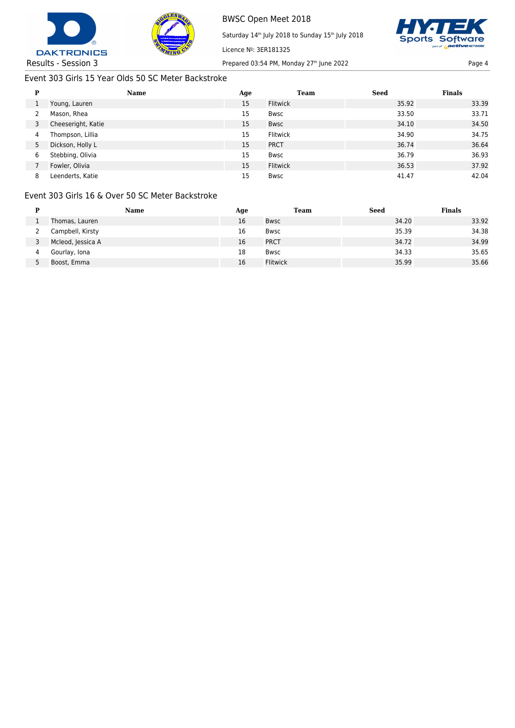



Licence Nº: 3ER181325

Saturday 14<sup>th</sup> July 2018 to Sunday 15<sup>th</sup> July 2018



Results - Session 3 Prepared 03:54 PM, Monday 27<sup>th</sup> June 2022 Page 4

## Event 303 Girls 15 Year Olds 50 SC Meter Backstroke

| P | Name               | Age | <b>Team</b>     | Seed  | <b>Finals</b> |
|---|--------------------|-----|-----------------|-------|---------------|
|   | Young, Lauren      | 15  | <b>Flitwick</b> | 35.92 | 33.39         |
|   | Mason, Rhea        | 15  | <b>Bwsc</b>     | 33.50 | 33.71         |
|   | Cheeseright, Katie | 15  | <b>Bwsc</b>     | 34.10 | 34.50         |
| 4 | Thompson, Lillia   | 15  | <b>Flitwick</b> | 34.90 | 34.75         |
| 5 | Dickson, Holly L   | 15  | <b>PRCT</b>     | 36.74 | 36.64         |
| 6 | Stebbing, Olivia   | 15  | <b>Bwsc</b>     | 36.79 | 36.93         |
|   | Fowler, Olivia     | 15  | <b>Flitwick</b> | 36.53 | 37.92         |
| 8 | Leenderts, Katie   | 15  | <b>Bwsc</b>     | 41.47 | 42.04         |

## Event 303 Girls 16 & Over 50 SC Meter Backstroke

|   | Name              | Age | <b>Team</b>     | <b>Seed</b> | <b>Finals</b> |
|---|-------------------|-----|-----------------|-------------|---------------|
|   | Thomas, Lauren    | 16  | <b>Bwsc</b>     | 34.20       | 33.92         |
|   | Campbell, Kirsty  | 16  | Bwsc            | 35.39       | 34.38         |
|   | Mcleod, Jessica A | 16  | <b>PRCT</b>     | 34.72       | 34.99         |
| 4 | Gourlay, Iona     | 18  | <b>Bwsc</b>     | 34.33       | 35.65         |
|   | Boost, Emma       | 16  | <b>Flitwick</b> | 35.99       | 35.66         |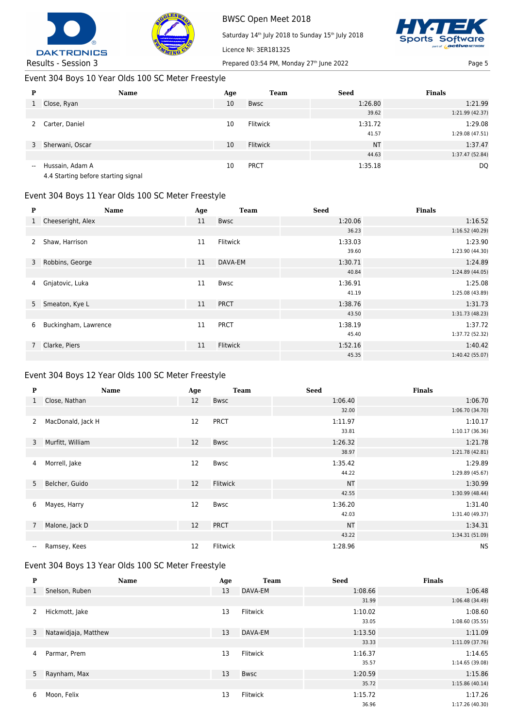



Saturday 14<sup>th</sup> July 2018 to Sunday 15<sup>th</sup> July 2018



Results - Session 3 Prepared 03:54 PM, Monday 27<sup>th</sup> June 2022 Page 5

# Event 304 Boys 10 Year Olds 100 SC Meter Freestyle

| P                        | <b>Name</b>     | Age | <b>Team</b>     | <b>Seed</b> | <b>Finals</b>   |
|--------------------------|-----------------|-----|-----------------|-------------|-----------------|
|                          | 1 Close, Ryan   | 10  | <b>Bwsc</b>     | 1:26.80     | 1:21.99         |
|                          |                 |     |                 | 39.62       | 1:21.99 (42.37) |
|                          | Carter, Daniel  | 10  | <b>Flitwick</b> | 1:31.72     | 1:29.08         |
|                          |                 |     |                 | 41.57       | 1:29.08 (47.51) |
| 3                        | Sherwani, Oscar | 10  | Flitwick        | <b>NT</b>   | 1:37.47         |
|                          |                 |     |                 | 44.63       | 1:37.47 (52.84) |
| $\overline{\phantom{a}}$ | Hussain, Adam A | 10  | <b>PRCT</b>     | 1:35.18     | <b>DQ</b>       |
|                          |                 |     |                 |             |                 |

Licence Nº: 3ER181325

4.4 Starting before starting signal

# Event 304 Boys 11 Year Olds 100 SC Meter Freestyle

| P            | Name                 | Age | <b>Team</b> | <b>Seed</b> | <b>Finals</b>   |
|--------------|----------------------|-----|-------------|-------------|-----------------|
| $\mathbf{1}$ | Cheeseright, Alex    | 11  | <b>Bwsc</b> | 1:20.06     | 1:16.52         |
|              |                      |     |             | 36.23       | 1:16.52(40.29)  |
| 2            | Shaw, Harrison       | 11  | Flitwick    | 1:33.03     | 1:23.90         |
|              |                      |     |             | 39.60       | 1:23.90 (44.30) |
|              | 3 Robbins, George    | 11  | DAVA-EM     | 1:30.71     | 1:24.89         |
|              |                      |     |             | 40.84       | 1:24.89 (44.05) |
| 4            | Gnjatovic, Luka      | 11  | <b>Bwsc</b> | 1:36.91     | 1:25.08         |
|              |                      |     |             | 41.19       | 1:25.08 (43.89) |
|              | 5 Smeaton, Kye L     | 11  | <b>PRCT</b> | 1:38.76     | 1:31.73         |
|              |                      |     |             | 43.50       | 1:31.73(48.23)  |
| 6            | Buckingham, Lawrence | 11  | <b>PRCT</b> | 1:38.19     | 1:37.72         |
|              |                      |     |             | 45.40       | 1:37.72 (52.32) |
|              | 7 Clarke, Piers      | 11  | Flitwick    | 1:52.16     | 1:40.42         |
|              |                      |     |             | 45.35       | 1:40.42(55.07)  |

# Event 304 Boys 12 Year Olds 100 SC Meter Freestyle

| ${\bf P}$                | Name              | Age               | <b>Team</b> | <b>Seed</b> | <b>Finals</b>   |
|--------------------------|-------------------|-------------------|-------------|-------------|-----------------|
| $\mathbf{1}$             | Close, Nathan     | 12                | <b>Bwsc</b> | 1:06.40     | 1:06.70         |
|                          |                   |                   |             | 32.00       | 1:06.70 (34.70) |
| $\mathbf{2}^{\prime}$    | MacDonald, Jack H | 12                | <b>PRCT</b> | 1:11.97     | 1:10.17         |
|                          |                   |                   |             | 33.81       | 1:10.17 (36.36) |
| 3                        | Murfitt, William  | $12 \overline{ }$ | <b>Bwsc</b> | 1:26.32     | 1:21.78         |
|                          |                   |                   |             | 38.97       | 1:21.78 (42.81) |
| 4                        | Morrell, Jake     | $12 \overline{ }$ | Bwsc        | 1:35.42     | 1:29.89         |
|                          |                   |                   |             | 44.22       | 1:29.89 (45.67) |
| 5 <sup>7</sup>           | Belcher, Guido    | 12                | Flitwick    | <b>NT</b>   | 1:30.99         |
|                          |                   |                   |             | 42.55       | 1:30.99 (48.44) |
| 6                        | Mayes, Harry      | 12                | Bwsc        | 1:36.20     | 1:31.40         |
|                          |                   |                   |             | 42.03       | 1:31.40 (49.37) |
| $\overline{7}$           | Malone, Jack D    | 12                | <b>PRCT</b> | <b>NT</b>   | 1:34.31         |
|                          |                   |                   |             | 43.22       | 1:34.31 (51.09) |
| $\overline{\phantom{a}}$ | Ramsey, Kees      | 12                | Flitwick    | 1:28.96     | <b>NS</b>       |

## Event 304 Boys 13 Year Olds 100 SC Meter Freestyle

| P              | <b>Name</b>          | Age | <b>Team</b>     | <b>Seed</b> | <b>Finals</b>   |
|----------------|----------------------|-----|-----------------|-------------|-----------------|
| $\mathbf{1}$   | Snelson, Ruben       | 13  | DAVA-EM         | 1:08.66     | 1:06.48         |
|                |                      |     |                 | 31.99       | 1:06.48 (34.49) |
| 2              | Hickmott, Jake       | 13  | <b>Flitwick</b> | 1:10.02     | 1:08.60         |
|                |                      |     |                 | 33.05       | 1:08.60(35.55)  |
| 3              | Natawidjaja, Matthew | 13  | DAVA-EM         | 1:13.50     | 1:11.09         |
|                |                      |     |                 | 33.33       | 1:11.09 (37.76) |
| 4              | Parmar, Prem         | 13  | Flitwick        | 1:16.37     | 1:14.65         |
|                |                      |     |                 | 35.57       | 1:14.65 (39.08) |
| 5 <sub>1</sub> | Raynham, Max         | 13  | <b>Bwsc</b>     | 1:20.59     | 1:15.86         |
|                |                      |     |                 | 35.72       | 1:15.86(40.14)  |
| 6              | Moon, Felix          | 13  | Flitwick        | 1:15.72     | 1:17.26         |
|                |                      |     |                 | 36.96       | 1:17.26 (40.30) |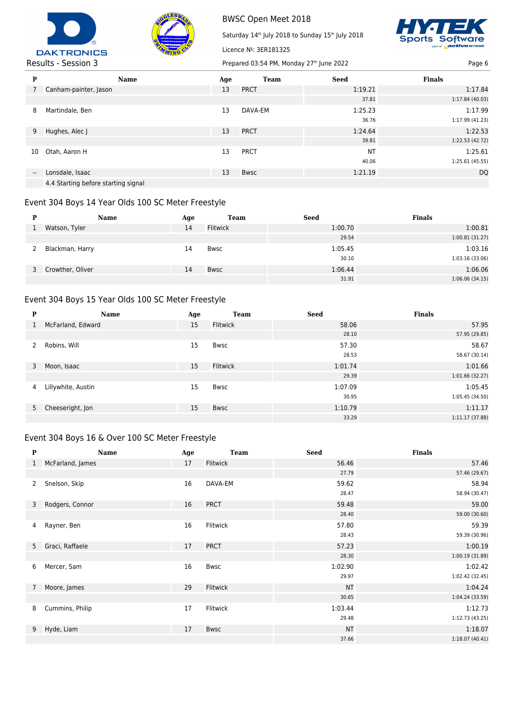



Saturday 14<sup>th</sup> July 2018 to Sunday 15<sup>th</sup> July 2018



#### Results - Session 3 Prepared 03:54 PM, Monday 27<sup>th</sup> June 2022 Page 6 Page 6

| <b>Name</b>                         | Age | <b>Team</b> | <b>Seed</b> | <b>Finals</b>   |
|-------------------------------------|-----|-------------|-------------|-----------------|
| Canham-painter, Jason               | 13  | <b>PRCT</b> | 1:19.21     | 1:17.84         |
|                                     |     |             | 37.81       | 1:17.84 (40.03) |
| Martindale, Ben                     | 13  | DAVA-EM     | 1:25.23     | 1:17.99         |
|                                     |     |             | 36.76       | 1:17.99(41.23)  |
| Hughes, Alec J                      | 13  | <b>PRCT</b> | 1:24.64     | 1:22.53         |
|                                     |     |             | 39.81       | 1:22.53 (42.72) |
| Otah, Aaron H                       | 13  | <b>PRCT</b> | <b>NT</b>   | 1:25.61         |
|                                     |     |             | 40.06       | 1:25.61(45.55)  |
| Lonsdale, Isaac                     | 13  | <b>Bwsc</b> | 1:21.19     | <b>DQ</b>       |
| 4.4 Starting before starting signal |     |             |             |                 |
|                                     |     |             |             |                 |

Licence Nº: 3ER181325

#### Event 304 Boys 14 Year Olds 100 SC Meter Freestyle

| Р  | <b>Name</b>      | Age | Team            | <b>Seed</b> | <b>Finals</b>  |
|----|------------------|-----|-----------------|-------------|----------------|
|    | Watson, Tyler    | 14  | <b>Flitwick</b> | 1:00.70     | 1:00.81        |
|    |                  |     |                 | 29.54       | 1:00.81(31.27) |
|    | Blackman, Harry  | 14  | Bwsc            | 1:05.45     | 1:03.16        |
|    |                  |     |                 | 30.10       | 1:03.16(33.06) |
| 3. | Crowther, Oliver | 14  | <b>Bwsc</b>     | 1:06.44     | 1:06.06        |
|    |                  |     |                 | 31.91       | 1:06.06(34.15) |

## Event 304 Boys 15 Year Olds 100 SC Meter Freestyle

| P | Name               | Age | <b>Team</b> | <b>Seed</b> | <b>Finals</b>   |
|---|--------------------|-----|-------------|-------------|-----------------|
| 1 | McFarland, Edward  | 15  | Flitwick    | 58.06       | 57.95           |
|   |                    |     |             | 28.10       | 57.95 (29.85)   |
| 2 | Robins, Will       | 15  | Bwsc        | 57.30       | 58.67           |
|   |                    |     |             | 28.53       | 58.67 (30.14)   |
| 3 | Moon, Isaac        | 15  | Flitwick    | 1:01.74     | 1:01.66         |
|   |                    |     |             | 29.39       | 1:01.66(32.27)  |
| 4 | Lillywhite, Austin | 15  | Bwsc        | 1:07.09     | 1:05.45         |
|   |                    |     |             | 30.95       | 1:05.45 (34.50) |
|   | 5 Cheeseright, Jon | 15  | <b>Bwsc</b> | 1:10.79     | 1:11.17         |
|   |                    |     |             | 33.29       | 1:11.17(37.88)  |

## Event 304 Boys 16 & Over 100 SC Meter Freestyle

| P            | Name              | Age | <b>Team</b> | <b>Seed</b> | <b>Finals</b>   |
|--------------|-------------------|-----|-------------|-------------|-----------------|
| $\mathbf{1}$ | McFarland, James  | 17  | Flitwick    | 56.46       | 57.46           |
|              |                   |     |             | 27.79       | 57.46 (29.67)   |
| 2            | Snelson, Skip     | 16  | DAVA-EM     | 59.62       | 58.94           |
|              |                   |     |             | 28.47       | 58.94 (30.47)   |
|              | 3 Rodgers, Connor | 16  | <b>PRCT</b> | 59.48       | 59.00           |
|              |                   |     |             | 28.40       | 59.00 (30.60)   |
|              | 4 Rayner, Ben     | 16  | Flitwick    | 57.80       | 59.39           |
|              |                   |     |             | 28.43       | 59.39 (30.96)   |
|              | 5 Graci, Raffaele | 17  | <b>PRCT</b> | 57.23       | 1:00.19         |
|              |                   |     |             | 28.30       | 1:00.19(31.89)  |
| 6            | Mercer, Sam       | 16  | Bwsc        | 1:02.90     | 1:02.42         |
|              |                   |     |             | 29.97       | 1:02.42 (32.45) |
|              | 7 Moore, James    | 29  | Flitwick    | <b>NT</b>   | 1:04.24         |
|              |                   |     |             | 30.65       | 1:04.24 (33.59) |
| 8            | Cummins, Philip   | 17  | Flitwick    | 1:03.44     | 1:12.73         |
|              |                   |     |             | 29.48       | 1:12.73 (43.25) |
|              | 9 Hyde, Liam      | 17  | <b>Bwsc</b> | <b>NT</b>   | 1:18.07         |
|              |                   |     |             | 37.66       | 1:18.07(40.41)  |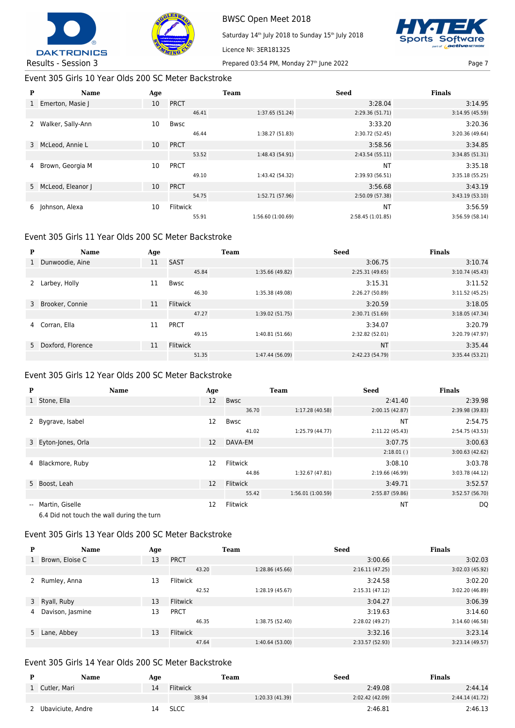



Licence Nº: 3ER181325

Saturday 14<sup>th</sup> July 2018 to Sunday 15<sup>th</sup> July 2018



Results - Session 3 Prepared 03:54 PM, Monday 27<sup>th</sup> June 2022 Page 7

Event 305 Girls 10 Year Olds 200 SC Meter Backstroke

| P            | Name                | Age |             | <b>Team</b>       | <b>Seed</b>       | <b>Finals</b>   |
|--------------|---------------------|-----|-------------|-------------------|-------------------|-----------------|
| $\mathbf{1}$ | Emerton, Masie J    | 10  | <b>PRCT</b> |                   | 3:28.04           | 3:14.95         |
|              |                     |     | 46.41       | 1:37.65 (51.24)   | 2:29.36 (51.71)   | 3:14.95 (45.59) |
|              | Walker, Sally-Ann   | 10  | Bwsc        |                   | 3:33.20           | 3:20.36         |
|              |                     |     | 46.44       | 1:38.27 (51.83)   | 2:30.72 (52.45)   | 3:20.36 (49.64) |
|              | 3 McLeod, Annie L   | 10  | <b>PRCT</b> |                   | 3:58.56           | 3:34.85         |
|              |                     |     | 53.52       | 1:48.43 (54.91)   | 2:43.54(55.11)    | 3:34.85 (51.31) |
| 4            | Brown, Georgia M    | 10  | <b>PRCT</b> |                   | <b>NT</b>         | 3:35.18         |
|              |                     |     | 49.10       | 1:43.42 (54.32)   | 2:39.93 (56.51)   | 3:35.18 (55.25) |
|              | 5 McLeod, Eleanor J | 10  | <b>PRCT</b> |                   | 3:56.68           | 3:43.19         |
|              |                     |     | 54.75       | 1:52.71 (57.96)   | 2:50.09 (57.38)   | 3:43.19 (53.10) |
| 6            | Johnson, Alexa      | 10  | Flitwick    |                   | <b>NT</b>         | 3:56.59         |
|              |                     |     | 55.91       | 1:56.60 (1:00.69) | 2:58.45 (1:01.85) | 3:56.59 (58.14) |

#### Event 305 Girls 11 Year Olds 200 SC Meter Backstroke

| P | Name                | Age |                 | <b>Team</b>     | <b>Seed</b>     | <b>Finals</b>   |
|---|---------------------|-----|-----------------|-----------------|-----------------|-----------------|
|   | Dunwoodie, Aine     | 11  | <b>SAST</b>     |                 | 3:06.75         | 3:10.74         |
|   |                     |     | 45.84           | 1:35.66 (49.82) | 2:25.31(49.65)  | 3:10.74(45.43)  |
|   | Larbey, Holly       | 11  | Bwsc            |                 | 3:15.31         | 3:11.52         |
|   |                     |     | 46.30           | 1:35.38 (49.08) | 2:26.27 (50.89) | 3:11.52(45.25)  |
| 3 | Brooker, Connie     | 11  | <b>Flitwick</b> |                 | 3:20.59         | 3:18.05         |
|   |                     |     | 47.27           | 1:39.02 (51.75) | 2:30.71 (51.69) | 3:18.05(47.34)  |
| 4 | Corran, Ella        | 11  | <b>PRCT</b>     |                 | 3:34.07         | 3:20.79         |
|   |                     |     | 49.15           | 1:40.81 (51.66) | 2:32.82 (52.01) | 3:20.79 (47.97) |
|   | 5 Doxford, Florence | 11  | <b>Flitwick</b> |                 | <b>NT</b>       | 3:35.44         |
|   |                     |     | 51.35           | 1:47.44 (56.09) | 2:42.23 (54.79) | 3:35.44(53.21)  |

## Event 305 Girls 12 Year Olds 200 SC Meter Backstroke

| P | <b>Name</b>                                                      | Age               |             | <b>Team</b>      | <b>Seed</b>     | <b>Finals</b>   |
|---|------------------------------------------------------------------|-------------------|-------------|------------------|-----------------|-----------------|
|   | 1 Stone, Ella                                                    | 12                | <b>Bwsc</b> |                  | 2:41.40         | 2:39.98         |
|   |                                                                  |                   | 36.70       | 1:17.28 (40.58)  | 2:00.15(42.87)  | 2:39.98 (39.83) |
|   | 2 Bygrave, Isabel                                                | 12                | Bwsc        |                  | <b>NT</b>       | 2:54.75         |
|   |                                                                  |                   | 41.02       | 1:25.79 (44.77)  | 2:11.22 (45.43) | 2:54.75 (43.53) |
|   | 3 Eyton-Jones, Orla                                              | 12                | DAVA-EM     |                  | 3:07.75         | 3:00.63         |
|   |                                                                  |                   |             |                  | 2:18.01()       | 3:00.63(42.62)  |
|   | 4 Blackmore, Ruby                                                | 12                | Flitwick    |                  | 3:08.10         | 3:03.78         |
|   |                                                                  |                   | 44.86       | 1:32.67 (47.81)  | 2:19.66 (46.99) | 3:03.78 (44.12) |
|   | 5 Boost, Leah                                                    | $12 \overline{ }$ | Flitwick    |                  | 3:49.71         | 3:52.57         |
|   |                                                                  |                   | 55.42       | 1:56.01(1:00.59) | 2:55.87 (59.86) | 3:52.57 (56.70) |
|   | -- Martin, Giselle<br>6.4 Did not touch the wall during the turn | 12                | Flitwick    |                  | <b>NT</b>       | DQ              |

## Event 305 Girls 13 Year Olds 200 SC Meter Backstroke

| P            | <b>Name</b>      | Age |                 | Team            | <b>Seed</b>     | <b>Finals</b>   |
|--------------|------------------|-----|-----------------|-----------------|-----------------|-----------------|
| $\mathbf{1}$ | Brown, Eloise C  | 13  | <b>PRCT</b>     |                 | 3:00.66         | 3:02.03         |
|              |                  |     | 43.20           | 1:28.86 (45.66) | 2:16.11(47.25)  | 3:02.03 (45.92) |
|              | 2 Rumley, Anna   | 13  | <b>Flitwick</b> |                 | 3:24.58         | 3:02.20         |
|              |                  |     | 42.52           | 1:28.19 (45.67) | 2:15.31(47.12)  | 3:02.20 (46.89) |
|              | 3 Ryall, Ruby    | 13  | Flitwick        |                 | 3:04.27         | 3:06.39         |
| 4            | Davison, Jasmine | 13  | <b>PRCT</b>     |                 | 3:19.63         | 3:14.60         |
|              |                  |     | 46.35           | 1:38.75 (52.40) | 2:28.02 (49.27) | 3:14.60(46.58)  |
|              | 5 Lane, Abbey    | 13  | <b>Flitwick</b> |                 | 3:32.16         | 3:23.14         |
|              |                  |     | 47.64           | 1:40.64 (53.00) | 2:33.57 (52.93) | 3:23.14(49.57)  |

## Event 305 Girls 14 Year Olds 200 SC Meter Backstroke

| D | Name              | Age |                 | Team            | Seed            | <b>Finals</b>   |
|---|-------------------|-----|-----------------|-----------------|-----------------|-----------------|
|   | 1 Cutler, Mari    | 14  | <b>Flitwick</b> |                 | 2:49.08         | 2:44.14         |
|   |                   |     | 38.94           | 1:20.33 (41.39) | 2:02.42 (42.09) | 2:44.14 (41.72) |
|   | Ubaviciute, Andre | 14  | <b>SLCC</b>     |                 | 2:46.81         | 2:46.13         |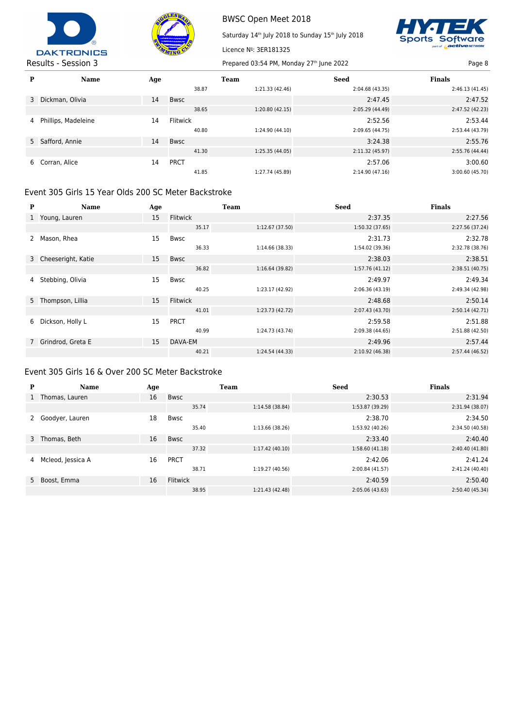



Saturday 14<sup>th</sup> July 2018 to Sunday 15<sup>th</sup> July 2018



| P | <b>Name</b>         | Age |             | Team            | <b>Seed</b>     | <b>Finals</b>   |
|---|---------------------|-----|-------------|-----------------|-----------------|-----------------|
|   |                     |     | 38.87       | 1:21.33 (42.46) | 2:04.68 (43.35) | 2:46.13(41.45)  |
| 3 | Dickman, Olivia     | 14  | <b>Bwsc</b> |                 | 2:47.45         | 2:47.52         |
|   |                     |     | 38.65       | 1:20.80(42.15)  | 2:05.29 (44.49) | 2:47.52 (42.23) |
| 4 | Phillips, Madeleine | 14  | Flitwick    |                 | 2:52.56         | 2:53.44         |
|   |                     |     | 40.80       | 1:24.90 (44.10) | 2:09.65 (44.75) | 2:53.44 (43.79) |
|   | 5 Safford, Annie    | 14  | <b>Bwsc</b> |                 | 3:24.38         | 2:55.76         |
|   |                     |     | 41.30       | 1:25.35(44.05)  | 2:11.32(45.97)  | 2:55.76 (44.44) |
| 6 | Corran, Alice       | 14  | <b>PRCT</b> |                 | 2:57.06         | 3:00.60         |
|   |                     |     | 41.85       | 1:27.74 (45.89) | 2:14.90 (47.16) | 3:00.60 (45.70) |

Licence Nº: 3ER181325

## Event 305 Girls 15 Year Olds 200 SC Meter Backstroke

| P            | <b>Name</b>          | Age |                 | <b>Team</b>     | <b>Seed</b>     | <b>Finals</b>   |
|--------------|----------------------|-----|-----------------|-----------------|-----------------|-----------------|
| $\mathbf{1}$ | Young, Lauren        | 15  | <b>Flitwick</b> |                 | 2:37.35         | 2:27.56         |
|              |                      |     | 35.17           | 1:12.67 (37.50) | 1:50.32 (37.65) | 2:27.56 (37.24) |
|              | Mason, Rhea          | 15  | <b>Bwsc</b>     |                 | 2:31.73         | 2:32.78         |
|              |                      |     | 36.33           | 1:14.66 (38.33) | 1:54.02 (39.36) | 2:32.78 (38.76) |
|              | 3 Cheeseright, Katie | 15  | Bwsc            |                 | 2:38.03         | 2:38.51         |
|              |                      |     | 36.82           | 1:16.64(39.82)  | 1:57.76 (41.12) | 2:38.51(40.75)  |
| 4            | Stebbing, Olivia     | 15  | Bwsc            |                 | 2:49.97         | 2:49.34         |
|              |                      |     | 40.25           | 1:23.17 (42.92) | 2:06.36 (43.19) | 2:49.34 (42.98) |
|              | 5 Thompson, Lillia   | 15  | <b>Flitwick</b> |                 | 2:48.68         | 2:50.14         |
|              |                      |     | 41.01           | 1:23.73 (42.72) | 2:07.43 (43.70) | 2:50.14(42.71)  |
| 6            | Dickson, Holly L     | 15  | <b>PRCT</b>     |                 | 2:59.58         | 2:51.88         |
|              |                      |     | 40.99           | 1:24.73 (43.74) | 2:09.38 (44.65) | 2:51.88 (42.50) |
|              | Grindrod, Greta E    | 15  | DAVA-EM         |                 | 2:49.96         | 2:57.44         |
|              |                      |     | 40.21           | 1:24.54 (44.33) | 2:10.92 (46.38) | 2:57.44 (46.52) |

#### Event 305 Girls 16 & Over 200 SC Meter Backstroke

| P            | <b>Name</b>       | Age |                 | <b>Team</b>     | <b>Seed</b>     | <b>Finals</b>   |
|--------------|-------------------|-----|-----------------|-----------------|-----------------|-----------------|
| $\mathbf{1}$ | Thomas, Lauren    | 16  | <b>Bwsc</b>     |                 | 2:30.53         | 2:31.94         |
|              |                   |     | 35.74           | 1:14.58(38.84)  | 1:53.87 (39.29) | 2:31.94 (38.07) |
|              | Goodyer, Lauren   | 18  | <b>Bwsc</b>     |                 | 2:38.70         | 2:34.50         |
|              |                   |     | 35.40           | 1:13.66 (38.26) | 1:53.92 (40.26) | 2:34.50 (40.58) |
|              | 3 Thomas, Beth    | 16  | <b>Bwsc</b>     |                 | 2:33.40         | 2:40.40         |
|              |                   |     | 37.32           | 1:17.42(40.10)  | 1:58.60(41.18)  | 2:40.40 (41.80) |
| 4            | Mcleod, Jessica A | 16  | <b>PRCT</b>     |                 | 2:42.06         | 2:41.24         |
|              |                   |     | 38.71           | 1:19.27 (40.56) | 2:00.84 (41.57) | 2:41.24 (40.40) |
|              | 5 Boost, Emma     | 16  | <b>Flitwick</b> |                 | 2:40.59         | 2:50.40         |
|              |                   |     | 38.95           | 1:21.43 (42.48) | 2:05.06(43.63)  | 2:50.40 (45.34) |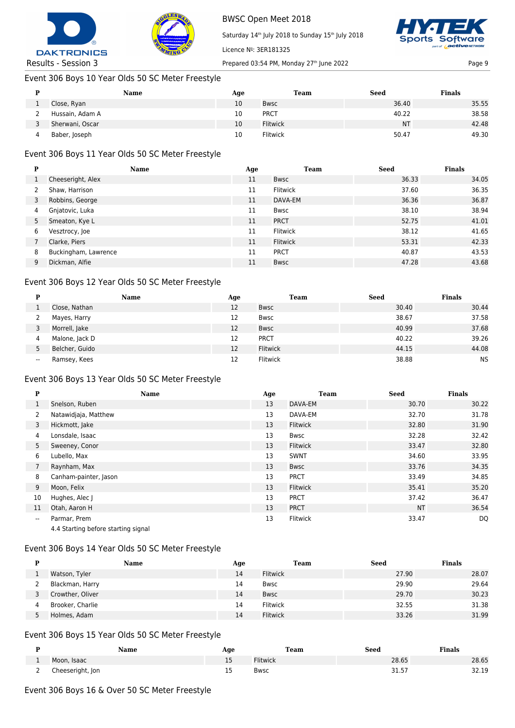



Saturday 14<sup>th</sup> July 2018 to Sunday 15<sup>th</sup> July 2018



Results - Session 3 Prepared 03:54 PM, Monday 27<sup>th</sup> June 2022 Page 9

# Event 306 Boys 10 Year Olds 50 SC Meter Freestyle

|   | Name            | Age | Team            | <b>Seed</b> | <b>Finals</b> |
|---|-----------------|-----|-----------------|-------------|---------------|
|   | Close, Ryan     | 10  | <b>Bwsc</b>     | 36.40       | 35.55         |
|   | Hussain, Adam A | 10  | <b>PRCT</b>     | 40.22       | 38.58         |
|   | Sherwani, Oscar | 10  | <b>Flitwick</b> | <b>NT</b>   | 42.48         |
| 4 | Baber, Joseph   | 10  | <b>Flitwick</b> | 50.47       | 49.30         |

Licence Nº: 3ER181325

## Event 306 Boys 11 Year Olds 50 SC Meter Freestyle

| P | <b>Name</b>          | Age | Team            | <b>Seed</b> | <b>Finals</b> |
|---|----------------------|-----|-----------------|-------------|---------------|
|   | Cheeseright, Alex    | 11  | <b>Bwsc</b>     | 36.33       | 34.05         |
|   | Shaw, Harrison       | 11  | <b>Flitwick</b> | 37.60       | 36.35         |
| 3 | Robbins, George      | 11  | DAVA-EM         | 36.36       | 36.87         |
| 4 | Gnjatovic, Luka      | 11  | Bwsc            | 38.10       | 38.94         |
| 5 | Smeaton, Kye L       | 11  | <b>PRCT</b>     | 52.75       | 41.01         |
| 6 | Vesztrocy, Joe       | 11  | <b>Flitwick</b> | 38.12       | 41.65         |
|   | Clarke, Piers        | 11  | <b>Flitwick</b> | 53.31       | 42.33         |
| 8 | Buckingham, Lawrence | 11  | <b>PRCT</b>     | 40.87       | 43.53         |
| 9 | Dickman, Alfie       | 11  | <b>Bwsc</b>     | 47.28       | 43.68         |

## Event 306 Boys 12 Year Olds 50 SC Meter Freestyle

| D     | <b>Name</b>    | Age | Team        | <b>Seed</b> | <b>Finals</b> |
|-------|----------------|-----|-------------|-------------|---------------|
|       | Close, Nathan  | 12  | <b>Bwsc</b> | 30.40       | 30.44         |
|       | Mayes, Harry   | 12  | <b>Bwsc</b> | 38.67       | 37.58         |
|       | Morrell, Jake  | 12  | <b>Bwsc</b> | 40.99       | 37.68         |
| 4     | Malone, Jack D | 12  | <b>PRCT</b> | 40.22       | 39.26         |
|       | Belcher, Guido | 12  | Flitwick    | 44.15       | 44.08         |
| $- -$ | Ramsey, Kees   | 12  | Flitwick    | 38.88       | <b>NS</b>     |

#### Event 306 Boys 13 Year Olds 50 SC Meter Freestyle

| P                        | <b>Name</b>                         | Age | <b>Team</b>     | <b>Seed</b> | <b>Finals</b> |
|--------------------------|-------------------------------------|-----|-----------------|-------------|---------------|
| 1                        | Snelson, Ruben                      | 13  | DAVA-EM         | 30.70       | 30.22         |
| 2                        | Natawidjaja, Matthew                | 13  | DAVA-EM         | 32.70       | 31.78         |
| 3                        | Hickmott, Jake                      | 13  | <b>Flitwick</b> | 32.80       | 31.90         |
| 4                        | Lonsdale, Isaac                     | 13  | Bwsc            | 32.28       | 32.42         |
| 5                        | Sweeney, Conor                      | 13  | <b>Flitwick</b> | 33.47       | 32.80         |
| 6                        | Lubello, Max                        | 13  | <b>SWNT</b>     | 34.60       | 33.95         |
|                          | Raynham, Max                        | 13  | Bwsc            | 33.76       | 34.35         |
| 8                        | Canham-painter, Jason               | 13  | <b>PRCT</b>     | 33.49       | 34.85         |
| 9                        | Moon, Felix                         | 13  | Flitwick        | 35.41       | 35.20         |
| 10                       | Hughes, Alec J                      | 13  | <b>PRCT</b>     | 37.42       | 36.47         |
| 11                       | Otah, Aaron H                       | 13  | <b>PRCT</b>     | <b>NT</b>   | 36.54         |
| $\overline{\phantom{a}}$ | Parmar, Prem                        | 13  | Flitwick        | 33.47       | DQ            |
|                          | 4.4 Starting before starting signal |     |                 |             |               |

## Event 306 Boys 14 Year Olds 50 SC Meter Freestyle

| D | Name             | Age | <b>Team</b>     | <b>Seed</b> | <b>Finals</b> |
|---|------------------|-----|-----------------|-------------|---------------|
|   | Watson, Tyler    | 14  | <b>Flitwick</b> | 27.90       | 28.07         |
|   | Blackman, Harry  | 14  | <b>Bwsc</b>     | 29.90       | 29.64         |
|   | Crowther, Oliver | 14  | <b>Bwsc</b>     | 29.70       | 30.23         |
|   | Brooker, Charlie | 14  | <b>Flitwick</b> | 32.55       | 31.38         |
|   | Holmes, Adam     | 14  | Flitwick        | 33.26       | 31.99         |

## Event 306 Boys 15 Year Olds 50 SC Meter Freestyle

|          | Name             | Age | <b>Team</b>     | Seed                | <b>Finals</b> |
|----------|------------------|-----|-----------------|---------------------|---------------|
|          | Moon, Isaac      | 15  | <b>Flitwick</b> | 28.65               | 28.65         |
| <u>_</u> | Cheeseright, Jon | 15  | Bwsc            | $21E^-$<br>، د. ۱ د | 32.19         |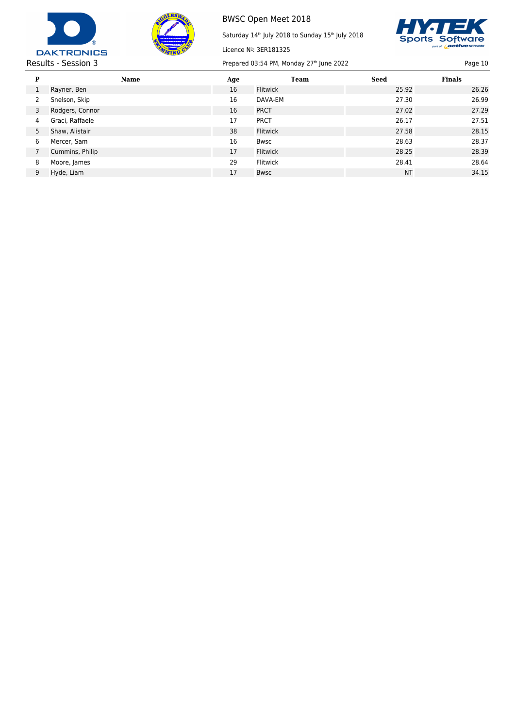



Saturday 14<sup>th</sup> July 2018 to Sunday 15<sup>th</sup> July 2018



Results - Session 3 Prepared 03:54 PM, Monday 27<sup>th</sup> June 2022 Page 10

| P | Name            | Age | Team            | <b>Seed</b> | <b>Finals</b> |
|---|-----------------|-----|-----------------|-------------|---------------|
|   | Rayner, Ben     | 16  | Flitwick        | 25.92       | 26.26         |
|   | Snelson, Skip   | 16  | DAVA-EM         | 27.30       | 26.99         |
| 3 | Rodgers, Connor | 16  | <b>PRCT</b>     | 27.02       | 27.29         |
| 4 | Graci, Raffaele | 17  | <b>PRCT</b>     | 26.17       | 27.51         |
| 5 | Shaw, Alistair  | 38  | Flitwick        | 27.58       | 28.15         |
| 6 | Mercer, Sam     | 16  | <b>Bwsc</b>     | 28.63       | 28.37         |
|   | Cummins, Philip | 17  | Flitwick        | 28.25       | 28.39         |
| 8 | Moore, James    | 29  | <b>Flitwick</b> | 28.41       | 28.64         |
| 9 | Hyde, Liam      | 17  | <b>Bwsc</b>     | <b>NT</b>   | 34.15         |

Licence Nº: 3ER181325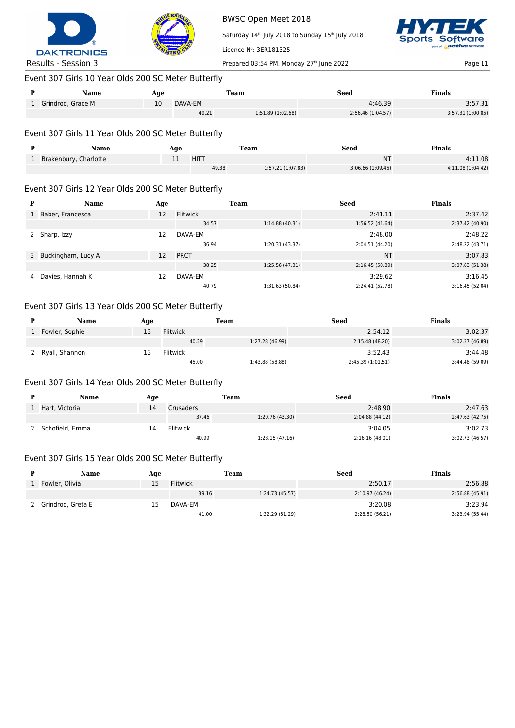



Saturday 14<sup>th</sup> July 2018 to Sunday 15<sup>th</sup> July 2018



## Event 307 Girls 10 Year Olds 200 SC Meter Butterfly

| Name              | Age |         | Team             | Seed             | Finals            |
|-------------------|-----|---------|------------------|------------------|-------------------|
| Grindrod, Grace M | 10  | DAVA-EM |                  | 4:46.39          | 3:57.31           |
|                   |     | 49.21   | 1:51.89(1:02.68) | 2:56.46(1:04.57) | 3:57.31 (1:00.85) |

Licence Nº: 3ER181325

#### Event 307 Girls 11 Year Olds 200 SC Meter Butterfly

| Name                    | Age |       | Team             | Seed             | <b>Finals</b>     |
|-------------------------|-----|-------|------------------|------------------|-------------------|
| 1 Brakenbury, Charlotte | ᆠ   | HITT  |                  | ΝT               | 4:11.08           |
|                         |     | 49.38 | 1:57.21(1:07.83) | 3:06.66(1:09.45) | 4:11.08 (1:04.42) |

#### Event 307 Girls 12 Year Olds 200 SC Meter Butterfly

| Р | Name                 | Age |                 | <b>Team</b>     | <b>Seed</b>     | <b>Finals</b>   |
|---|----------------------|-----|-----------------|-----------------|-----------------|-----------------|
|   | Baber, Francesca     | 12  | <b>Flitwick</b> |                 | 2:41.11         | 2:37.42         |
|   |                      |     | 34.57           | 1:14.88(40.31)  | 1:56.52(41.64)  | 2:37.42 (40.90) |
|   | Sharp, Izzy          | 12  | DAVA-EM         |                 | 2:48.00         | 2:48.22         |
|   |                      |     | 36.94           | 1:20.31(43.37)  | 2:04.51 (44.20) | 2:48.22 (43.71) |
|   | 3 Buckingham, Lucy A | 12  | <b>PRCT</b>     |                 | <b>NT</b>       | 3:07.83         |
|   |                      |     | 38.25           | 1:25.56 (47.31) | 2:16.45(50.89)  | 3:07.83 (51.38) |
| 4 | Davies, Hannah K     | 12  | DAVA-EM         |                 | 3:29.62         | 3:16.45         |
|   |                      |     | 40.79           | 1:31.63 (50.84) | 2:24.41 (52.78) | 3:16.45(52.04)  |

## Event 307 Girls 13 Year Olds 200 SC Meter Butterfly

| Name           | Age |                 | Team            | Seed              | <b>Finals</b>   |
|----------------|-----|-----------------|-----------------|-------------------|-----------------|
| Fowler, Sophie | --  | <b>Flitwick</b> |                 | 2:54.12           | 3:02.37         |
|                |     | 40.29           | 1:27.28 (46.99) | 2:15.48 (48.20)   | 3:02.37 (46.89) |
| Ryall, Shannon | --  | <b>Flitwick</b> |                 | 3:52.43           | 3:44.48         |
|                |     | 45.00           | 1:43.88 (58.88) | 2:45.39 (1:01.51) | 3:44.48 (59.09) |

#### Event 307 Girls 14 Year Olds 200 SC Meter Butterfly

| Name            | Age |                 | Team            | Seed            | <b>Finals</b>   |
|-----------------|-----|-----------------|-----------------|-----------------|-----------------|
| Hart, Victoria  | 14  | Crusaders       |                 | 2:48.90         | 2:47.63         |
|                 |     | 37.46           | 1:20.76 (43.30) | 2:04.88 (44.12) | 2:47.63(42.75)  |
| Schofield, Emma | 14  | <b>Flitwick</b> |                 | 3:04.05         | 3:02.73         |
|                 |     | 40.99           | 1:28.15(47.16)  | 2:16.16(48.01)  | 3:02.73 (46.57) |

#### Event 307 Girls 15 Year Olds 200 SC Meter Butterfly

| Name              | Age |                 | Team            | <b>Seed</b>     | <b>Finals</b>   |
|-------------------|-----|-----------------|-----------------|-----------------|-----------------|
| Fowler, Olivia    |     | <b>Flitwick</b> |                 | 2:50.17         | 2:56.88         |
|                   |     | 39.16           | 1:24.73 (45.57) | 2:10.97 (46.24) | 2:56.88(45.91)  |
| Grindrod, Greta E | 15  | DAVA-EM         |                 | 3:20.08         | 3:23.94         |
|                   |     | 41.00           | 1:32.29 (51.29) | 2:28.50 (56.21) | 3:23.94 (55.44) |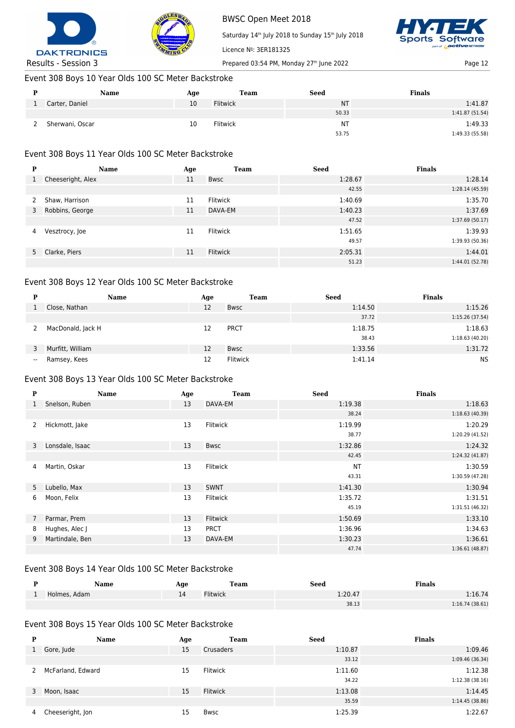



Saturday 14<sup>th</sup> July 2018 to Sunday 15<sup>th</sup> July 2018



Results - Session 3 Prepared 03:54 PM, Monday 27<sup>th</sup> June 2022 Page 12

## Event 308 Boys 10 Year Olds 100 SC Meter Backstroke

| Name            | Age | Team            | <b>Seed</b> | <b>Finals</b>   |
|-----------------|-----|-----------------|-------------|-----------------|
| Carter, Daniel  | 10  | <b>Flitwick</b> | <b>NT</b>   | 1:41.87         |
|                 |     |                 | 50.33       | 1:41.87 (51.54) |
| Sherwani, Oscar | 10  | <b>Flitwick</b> | ΝT          | 1:49.33         |
|                 |     |                 | 53.75       | 1:49.33 (55.58) |

Licence Nº: 3ER181325

## Event 308 Boys 11 Year Olds 100 SC Meter Backstroke

| P | Name              | Age | <b>Team</b>     | <b>Seed</b> | <b>Finals</b>   |
|---|-------------------|-----|-----------------|-------------|-----------------|
| 1 | Cheeseright, Alex | 11  | <b>Bwsc</b>     | 1:28.67     | 1:28.14         |
|   |                   |     |                 | 42.55       | 1:28.14 (45.59) |
| 2 | Shaw, Harrison    | 11  | Flitwick        | 1:40.69     | 1:35.70         |
| 3 | Robbins, George   | 11  | DAVA-EM         | 1:40.23     | 1:37.69         |
|   |                   |     |                 | 47.52       | 1:37.69(50.17)  |
| 4 | Vesztrocy, Joe    | 11  | Flitwick        | 1:51.65     | 1:39.93         |
|   |                   |     |                 | 49.57       | 1:39.93 (50.36) |
|   | 5 Clarke, Piers   | 11  | <b>Flitwick</b> | 2:05.31     | 1:44.01         |
|   |                   |     |                 | 51.23       | 1:44.01 (52.78) |

#### Event 308 Boys 12 Year Olds 100 SC Meter Backstroke

| D     | <b>Name</b>       | Age | <b>Team</b> | <b>Seed</b> | <b>Finals</b>  |
|-------|-------------------|-----|-------------|-------------|----------------|
|       | Close, Nathan     | 12  | <b>Bwsc</b> | 1:14.50     | 1:15.26        |
|       |                   |     |             | 37.72       | 1:15.26(37.54) |
|       | MacDonald, Jack H | 12  | <b>PRCT</b> | 1:18.75     | 1:18.63        |
|       |                   |     |             | 38.43       | 1:18.63(40.20) |
|       | Murfitt, William  | 12  | <b>Bwsc</b> | 1:33.56     | 1:31.72        |
| $- -$ | Ramsey, Kees      | 12  | Flitwick    | 1:41.14     | <b>NS</b>      |

#### Event 308 Boys 13 Year Olds 100 SC Meter Backstroke

| $\mathbf{P}$   | Name            | Age | <b>Team</b> | <b>Seed</b> | <b>Finals</b>   |
|----------------|-----------------|-----|-------------|-------------|-----------------|
|                | Snelson, Ruben  | 13  | DAVA-EM     | 1:19.38     | 1:18.63         |
|                |                 |     |             | 38.24       | 1:18.63(40.39)  |
| 2              | Hickmott, Jake  | 13  | Flitwick    | 1:19.99     | 1:20.29         |
|                |                 |     |             | 38.77       | 1:20.29 (41.52) |
| 3              | Lonsdale, Isaac | 13  | <b>Bwsc</b> | 1:32.86     | 1:24.32         |
|                |                 |     |             | 42.45       | 1:24.32 (41.87) |
| 4              | Martin, Oskar   | 13  | Flitwick    | <b>NT</b>   | 1:30.59         |
|                |                 |     |             | 43.31       | 1:30.59 (47.28) |
| 5 <sup>1</sup> | Lubello, Max    | 13  | <b>SWNT</b> | 1:41.30     | 1:30.94         |
| 6              | Moon, Felix     | 13  | Flitwick    | 1:35.72     | 1:31.51         |
|                |                 |     |             | 45.19       | 1:31.51(46.32)  |
| $7^{\circ}$    | Parmar, Prem    | 13  | Flitwick    | 1:50.69     | 1:33.10         |
| 8              | Hughes, Alec J  | 13  | <b>PRCT</b> | 1:36.96     | 1:34.63         |
| 9              | Martindale, Ben | 13  | DAVA-EM     | 1:30.23     | 1:36.61         |
|                |                 |     |             | 47.74       | 1:36.61(48.87)  |

## Event 308 Boys 14 Year Olds 100 SC Meter Backstroke

| Name         | Age | <b>Team</b>     | <b>Seed</b> | <b>Finals</b>  |
|--------------|-----|-----------------|-------------|----------------|
| Holmes, Adam |     | <b>Flitwick</b> | 1:20.47     | 1:16.74        |
|              |     |                 | 38.13       | 1:16.74(38.61) |

## Event 308 Boys 15 Year Olds 100 SC Meter Backstroke

| P | <b>Name</b>       | Age | <b>Team</b>     | <b>Seed</b> | <b>Finals</b>   |
|---|-------------------|-----|-----------------|-------------|-----------------|
|   | Gore, Jude        | 15  | Crusaders       | 1:10.87     | 1:09.46         |
|   |                   |     |                 | 33.12       | 1:09.46 (36.34) |
| 2 | McFarland, Edward | 15  | Flitwick        | 1:11.60     | 1:12.38         |
|   |                   |     |                 | 34.22       | 1:12.38(38.16)  |
| 3 | Moon, Isaac       | 15  | <b>Flitwick</b> | 1:13.08     | 1:14.45         |
|   |                   |     |                 | 35.59       | 1:14.45(38.86)  |
| 4 | Cheeseright, Jon  | 15  | Bwsc            | 1:25.39     | 1:22.67         |